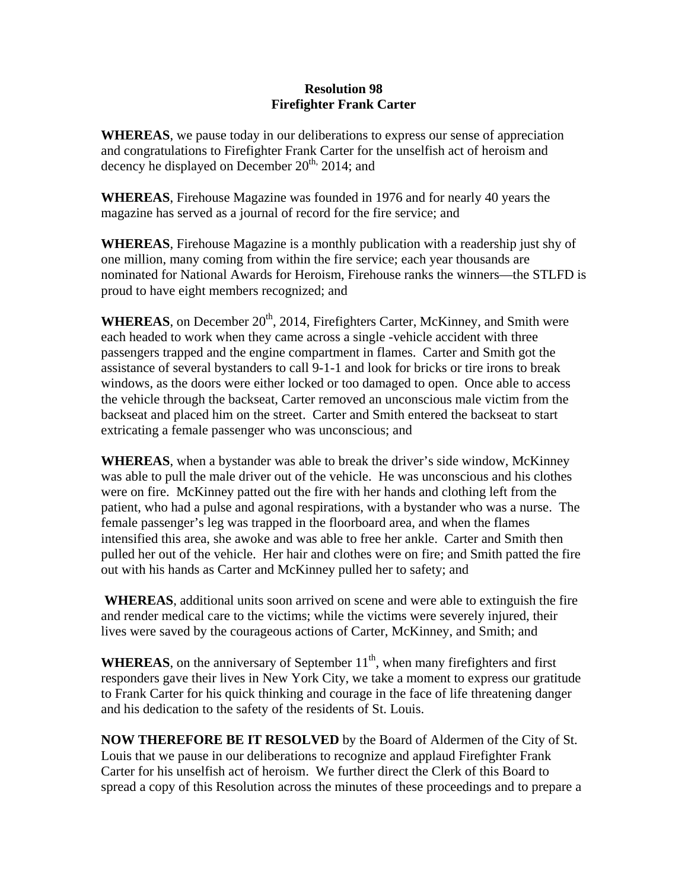## **Resolution 98 Firefighter Frank Carter**

**WHEREAS**, we pause today in our deliberations to express our sense of appreciation and congratulations to Firefighter Frank Carter for the unselfish act of heroism and decency he displayed on December 20<sup>th,</sup> 2014; and

**WHEREAS**, Firehouse Magazine was founded in 1976 and for nearly 40 years the magazine has served as a journal of record for the fire service; and

**WHEREAS**, Firehouse Magazine is a monthly publication with a readership just shy of one million, many coming from within the fire service; each year thousands are nominated for National Awards for Heroism, Firehouse ranks the winners—the STLFD is proud to have eight members recognized; and

WHEREAS, on December 20<sup>th</sup>, 2014, Firefighters Carter, McKinney, and Smith were each headed to work when they came across a single -vehicle accident with three passengers trapped and the engine compartment in flames. Carter and Smith got the assistance of several bystanders to call 9-1-1 and look for bricks or tire irons to break windows, as the doors were either locked or too damaged to open. Once able to access the vehicle through the backseat, Carter removed an unconscious male victim from the backseat and placed him on the street. Carter and Smith entered the backseat to start extricating a female passenger who was unconscious; and

**WHEREAS**, when a bystander was able to break the driver's side window, McKinney was able to pull the male driver out of the vehicle. He was unconscious and his clothes were on fire. McKinney patted out the fire with her hands and clothing left from the patient, who had a pulse and agonal respirations, with a bystander who was a nurse. The female passenger's leg was trapped in the floorboard area, and when the flames intensified this area, she awoke and was able to free her ankle. Carter and Smith then pulled her out of the vehicle. Her hair and clothes were on fire; and Smith patted the fire out with his hands as Carter and McKinney pulled her to safety; and

 **WHEREAS**, additional units soon arrived on scene and were able to extinguish the fire and render medical care to the victims; while the victims were severely injured, their lives were saved by the courageous actions of Carter, McKinney, and Smith; and

**WHEREAS**, on the anniversary of September  $11<sup>th</sup>$ , when many firefighters and first responders gave their lives in New York City, we take a moment to express our gratitude to Frank Carter for his quick thinking and courage in the face of life threatening danger and his dedication to the safety of the residents of St. Louis.

**NOW THEREFORE BE IT RESOLVED** by the Board of Aldermen of the City of St. Louis that we pause in our deliberations to recognize and applaud Firefighter Frank Carter for his unselfish act of heroism. We further direct the Clerk of this Board to spread a copy of this Resolution across the minutes of these proceedings and to prepare a